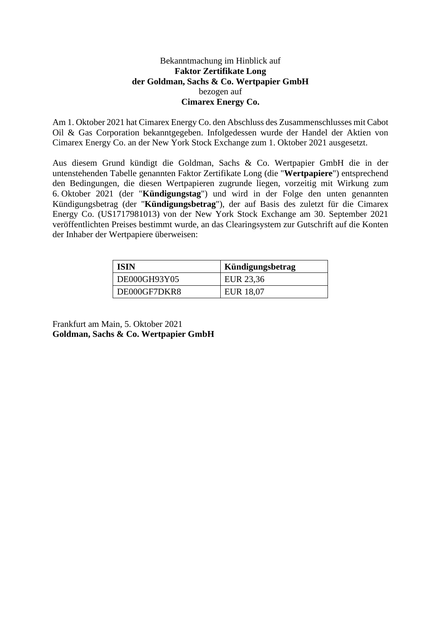## Bekanntmachung im Hinblick auf **Faktor Zertifikate Long der Goldman, Sachs & Co. Wertpapier GmbH** bezogen auf **Cimarex Energy Co.**

Am 1. Oktober 2021 hat Cimarex Energy Co. den Abschluss des Zusammenschlusses mit Cabot Oil & Gas Corporation bekanntgegeben. Infolgedessen wurde der Handel der Aktien von Cimarex Energy Co. an der New York Stock Exchange zum 1. Oktober 2021 ausgesetzt.

Aus diesem Grund kündigt die Goldman, Sachs & Co. Wertpapier GmbH die in der untenstehenden Tabelle genannten Faktor Zertifikate Long (die "**Wertpapiere**") entsprechend den Bedingungen, die diesen Wertpapieren zugrunde liegen, vorzeitig mit Wirkung zum 6. Oktober 2021 (der "**Kündigungstag**") und wird in der Folge den unten genannten Kündigungsbetrag (der "**Kündigungsbetrag**"), der auf Basis des zuletzt für die Cimarex Energy Co. (US1717981013) von der New York Stock Exchange am 30. September 2021 veröffentlichten Preises bestimmt wurde, an das Clearingsystem zur Gutschrift auf die Konten der Inhaber der Wertpapiere überweisen:

| <b>ISIN</b>  | Kündigungsbetrag |
|--------------|------------------|
| DE000GH93Y05 | EUR 23,36        |
| DE000GF7DKR8 | EUR 18,07        |

Frankfurt am Main, 5. Oktober 2021 **Goldman, Sachs & Co. Wertpapier GmbH**